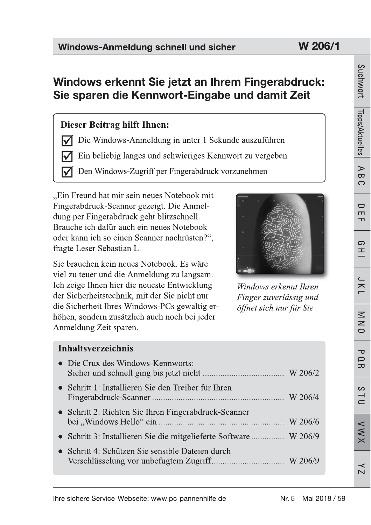# Windows erkennt Sie jetzt an Ihrem Fingerabdruck: Sie sparen die Kennwort-Eingabe und damit Zeit

# **Dieser Beitrag hilft Ihnen:**

Die Windows-Anmeldung in unter 1 Sekunde auszuführen l√

Ein beliebig langes und schwieriges Kennwort zu vergeben

Den Windows-Zugriff per Fingerabdruck vorzunehmen

"Ein Freund hat mir sein neues Notebook mit Fingerabdruck-Scanner gezeigt. Die Anmeldung per Fingerabdruck geht blitzschnell. Brauche ich dafür auch ein neues Notebook oder kann ich so einen Scanner nachrüsten?". fragte Leser Sebastian L.

Sie brauchen kein neues Notebook. Es wäre viel zu teuer und die Anmeldung zu langsam. Ich zeige Ihnen hier die neueste Entwicklung der Sicherheitstechnik, mit der Sie nicht nur die Sicherheit Ihres Windows-PCs gewaltig erhöhen, sondern zusätzlich auch noch bei jeder Anmeldung Zeit sparen.



Windows erkennt Ihren Finger zuverlässig und öffnet sich nur für Sie

# **Inhaltsverzeichnis** • Die Crux des Windows-Kennworts:

| • Schritt 1: Installieren Sie den Treiber für Ihren              |  |
|------------------------------------------------------------------|--|
| • Schritt 2: Richten Sie Ihren Fingerabdruck-Scanner             |  |
| • Schritt 3: Installieren Sie die mitgelieferte Software W 206/9 |  |
| • Schritt 4: Schützen Sie sensible Dateien durch                 |  |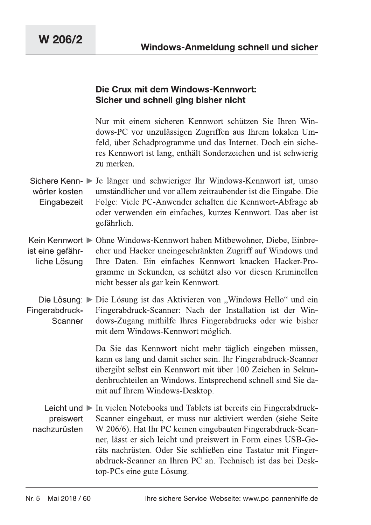#### Die Crux mit dem Windows-Kennwort: Sicher und schnell ging bisher nicht

Nur mit einem sicheren Kennwort schützen Sie Ihren Windows-PC vor unzulässigen Zugriffen aus Ihrem lokalen Umfeld, über Schadprogramme und das Internet. Doch ein sicheres Kennwort ist lang, enthält Sonderzeichen und ist schwierig zu merken.

- Sichere Kenn- > Je länger und schwieriger Ihr Windows-Kennwort ist, umso umständlicher und vor allem zeitraubender ist die Eingabe. Die wörter kosten Eingabezeit Folge: Viele PC-Anwender schalten die Kennwort-Abfrage ab oder verwenden ein einfaches, kurzes Kennwort. Das aber ist gefährlich.
- Kein Kennwort ▶ Ohne Windows-Kennwort haben Mitbewohner, Diebe, Einbreist eine gefährcher und Hacker uneingeschränkten Zugriff auf Windows und Ihre Daten. Ein einfaches Kennwort knacken Hacker-Proliche Lösung gramme in Sekunden, es schützt also vor diesen Kriminellen nicht besser als gar kein Kennwort.
- Die Lösung: ► Die Lösung ist das Aktivieren von "Windows Hello" und ein Fingerabdruck-Fingerabdruck-Scanner: Nach der Installation ist der Win-Scanner dows-Zugang mithilfe Ihres Fingerabdrucks oder wie bisher mit dem Windows-Kennwort möglich.

Da Sie das Kennwort nicht mehr täglich eingeben müssen, kann es lang und damit sicher sein. Ihr Fingerabdruck-Scanner übergibt selbst ein Kennwort mit über 100 Zeichen in Sekundenbruchteilen an Windows. Entsprechend schnell sind Sie damit auf Ihrem Windows-Desktop.

Leicht und ► In vielen Notebooks und Tablets ist bereits ein Fingerabdruck-Scanner eingebaut, er muss nur aktiviert werden (siehe Seite preiswert nachzurüsten W 206/6). Hat Ihr PC keinen eingebauten Fingerabdruck-Scanner, lässt er sich leicht und preiswert in Form eines USB-Geräts nachrüsten. Oder Sie schließen eine Tastatur mit Fingerabdruck-Scanner an Ihren PC an. Technisch ist das bei Desktop-PCs eine gute Lösung.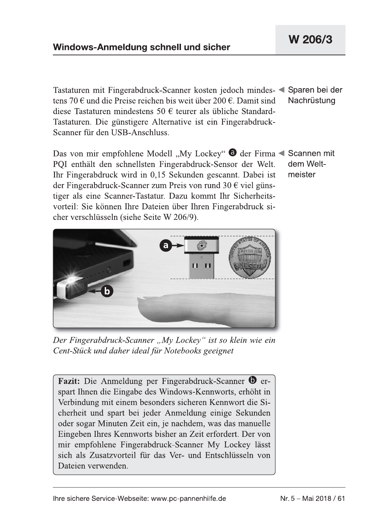Tastaturen mit Fingerabdruck-Scanner kosten jedoch mindes- < Sparen bei der tens 70  $\epsilon$  und die Preise reichen bis weit über 200  $\epsilon$ . Damit sind Nachrüstung diese Tastaturen mindestens 50 € teurer als übliche Standard-Tastaturen. Die günstigere Alternative ist ein Fingerabdruck-Scanner für den USB-Anschluss.

Das von mir empfohlene Modell "My Lockey" @ der Firma < Scannen mit PQI enthält den schnellsten Fingerabdruck-Sensor der Welt. Ihr Fingerabdruck wird in 0.15 Sekunden gescannt. Dabei ist der Fingerabdruck-Scanner zum Preis von rund 30 € viel günstiger als eine Scanner-Tastatur. Dazu kommt Ihr Sicherheitsvorteil: Sie können Ihre Dateien über Ihren Fingerabdruck sicher verschlüsseln (siehe Seite W 206/9).



Der Fingerabdruck-Scanner "My Lockey" ist so klein wie ein Cent-Stück und daher ideal für Notebooks geeignet

Fazit: Die Anmeldung per Fingerabdruck-Scanner <sup>O</sup> erspart Ihnen die Eingabe des Windows-Kennworts, erhöht in Verbindung mit einem besonders sicheren Kennwort die Sicherheit und spart bei jeder Anmeldung einige Sekunden oder sogar Minuten Zeit ein, je nachdem, was das manuelle Eingeben Ihres Kennworts bisher an Zeit erfordert. Der von mir empfohlene Fingerabdruck-Scanner My Lockey lässt sich als Zusatzvorteil für das Ver- und Entschlüsseln von Dateien verwenden.

dem Weltmeister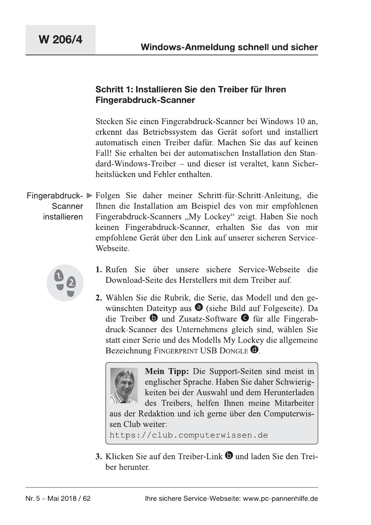# Schritt 1: Installieren Sie den Treiber für inren Fingerabdruck-Scanner

Stecken Sie einen Fingerabdruck-Scanner bei Windows 10 an, erkennt das Betriebssystem das Gerät sofort und installiert automatisch einen Treiber dafür. Machen Sie das auf keinen Fall! Sie erhalten bei der automatischen Installation den Standard-Windows-Treiber – und dieser ist veraltet, kann Sicherheitslücken und Fehler enthalten.

Fingerabdruck- I Folgen Sie daher meiner Schritt-fur-Schritt-Anleitung, die Scanner installieren  $I$ hnen die Installation am Beispiel des von mir empfohlenen Fingerabdruck-Scanners "My Lockey" zeigt. Haben Sie noch keinen Fingerabdruck-Scanner, erhalten Sie das von mir empfohlene Gerät über den Link auf unserer sicheren Service-Webseite.



- 1. Rufen Sie über unsere sichere Service-Webseite die Download-Seite des Herstellers mit dem Treiber auf.
- **2.** Wählen Sie die Rubrik, die Serie, das Modell und den gewünschten Dateityp aus  $\bigcirc$  (siehe Bild auf Folgeseite). Da die Treiber  $\bullet$  und Zusatz-Software  $\bullet$  für alle Fingerabdruck-Scanner des Unternehmens gleich sind, wählen Sie statt einer Serie und des Modells My Lockey die allgemeine Bezeichnung FINGERPRINT USB DONGLE  $\bullet$ .

**Mein Tipp:** Die Support-Seiten sind meist in englischer Sprache. Haben Sie daher Schwierigkeiten bei der Auswahl und dem Herunterladen des Treibers, helfen Ihnen meine Mitarbeiter aus der Redaktion und ich gerne über den Computerwissen Club weiter:

https://club.computerwissen.de

https://club.computerwissen.de<br>3. Klicken Sie auf den Treiber-Link <sup>1</sup> und laden Sie den Treiber<br>ber herunter.<br>Nr. 5 – Mai 2018 / 62 lhre sichere Service-Webseite: www.pc-pannenhilfe.de **3.** Klicken Sie auf den Treiber-Link  $\bullet$  und laden Sie den Treiber herunter.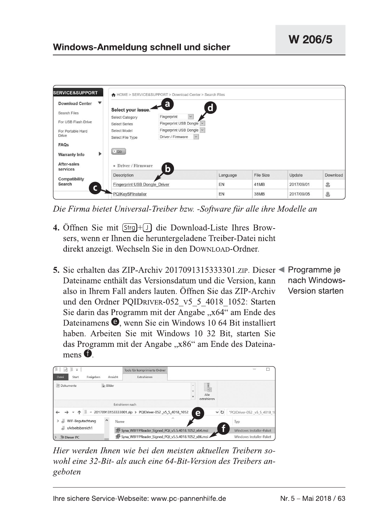|                                                    |                               | A HOME > SERVICE&SUPPORT > Download Center > Search Files |             |                  |            |          |
|----------------------------------------------------|-------------------------------|-----------------------------------------------------------|-------------|------------------|------------|----------|
| $\overline{\phantom{a}}$<br><b>Download Center</b> | Select your issue.            | a                                                         | $\mathbf d$ |                  |            |          |
| Search Files                                       | <b>Select Category</b>        | $\backsim$<br>Fingerprint                                 |             |                  |            |          |
| For USB Flash Drive                                | <b>Select Series</b>          | Fingerprint USB Dongle   v                                |             |                  |            |          |
| For Portable Hard                                  | Select Model                  | Fingerprint USB Dongle v                                  |             |                  |            |          |
| <b>Drive</b>                                       | Select File Type              | Driver / Firmware<br>$\check{~}$                          |             |                  |            |          |
| FAQs                                               |                               |                                                           |             |                  |            |          |
| ▶<br><b>Warranty Info</b>                          | $\triangleright$ Go           |                                                           |             |                  |            |          |
| After-sales<br>services                            | • Driver / Firmware<br>b      |                                                           |             |                  |            |          |
| Compatibility                                      | Description                   |                                                           | Language    | <b>File Size</b> | Update     | Download |
| Search                                             | Fingerprint USB Dongle Driver |                                                           | EN          | 41MB             | 2017/09/01 | 喜        |
|                                                    | PQIKeySFInstaller             |                                                           | EN          | <b>38MB</b>      | 2017/09/05 | 当        |

Die Firma bietet Universal-Treiber bzw. -Software für alle ihre Modelle an

- 4. Öffnen Sie mit [Strg]+[J] die Download-Liste Ihres Browsers, wenn er Ihnen die heruntergeladene Treiber-Datei nicht direkt anzeigt. Wechseln Sie in den DOWNLOAD-Ordner.
- 5. Sie erhalten das ZIP-Archiv 2017091315333301. ZIP. Dieser < Programme je Dateiname enthält das Versionsdatum und die Version, kann nach Windows-Version starten also in Ihrem Fall anders lauten. Öffnen Sie das ZIP-Archiv und den Ordner POIDRIVER-052 v5 5 4018 1052: Starten Sie darin das Programm mit der Angabe " $x64$ " am Ende des Dateinamens **O**, wenn Sie ein Windows 10 64 Bit installiert haben. Arbeiten Sie mit Windows 10 32 Bit, starten Sie das Programm mit der Angabe "x86" am Ende des Dateina $mens$  $\bullet$

|                                                                                                     | Tools für komprimierte Ordner                      |                                           |                         |  |  |  |
|-----------------------------------------------------------------------------------------------------|----------------------------------------------------|-------------------------------------------|-------------------------|--|--|--|
| Freigeben<br>Ansicht<br>Datei<br>Start                                                              | Extrahieren                                        |                                           |                         |  |  |  |
| $\equiv$ Bilder<br>图 Dokumente                                                                      |                                                    | $\mathcal{A}$<br>Alle<br>Ψ<br>extrahieren |                         |  |  |  |
|                                                                                                     | Extrahieren nach                                   |                                           |                         |  |  |  |
| 20170913153333001.zip > PQIDriver-052 v5 5 4018 1052<br>$\circ$<br>"PQIDriver-052 v5 5 4018 10<br>е |                                                    |                                           |                         |  |  |  |
| WIF-Begutachtung<br>⌒                                                                               | $\widehat{\phantom{a}}$<br>Name                    |                                           | Typ                     |  |  |  |
| xArbeitsbereich1                                                                                    | Syna_WBFFPReader_Signed_PQI_v5.5.4018.1052_x64.msi |                                           | Windows Installer-Paket |  |  |  |
| Dieser PC                                                                                           | syna_WBFFPReader_Signed_PQI_v5.5.4018.1052_x86.msi |                                           | Windows Installer-Paket |  |  |  |

Hier werden Ihnen wie bei den meisten aktuellen Treibern sowohl eine 32-Bit- als auch eine 64-Bit-Version des Treibers angeboten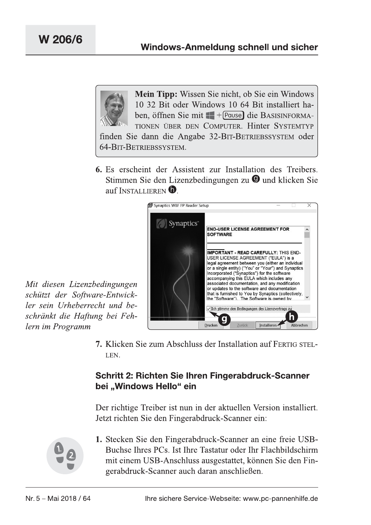

6. Es erscheint der Assistent zur Installation des Treibers. Stimmen Sie den Lizenzbedingungen zu @ und klicken Sie auf INSTALLIEREN  $\mathbf 0$ .



Mit diesen Lizenzbedingungen schützt der Software-Entwickler sein Urheberrecht und beschränkt die Haftung bei Fehlern im Programm

> 7. Klicken Sie zum Abschluss der Installation auf FERTIG STEL-LEN.

## Schritt 2: Richten Sie Ihren Fingerabdruck-Scanner bei "Windows Hello" ein

Der richtige Treiber ist nun in der aktuellen Version installiert. Jetzt richten Sie den Fingerabdruck-Scanner ein:



1. Stecken Sie den Fingerabdruck-Scanner an eine freie USB-Buchse Ihres PCs. Ist Ihre Tastatur oder Ihr Flachbildschirm mit einem USB-Anschluss ausgestattet, können Sie den Fingerabdruck-Scanner auch daran anschließen.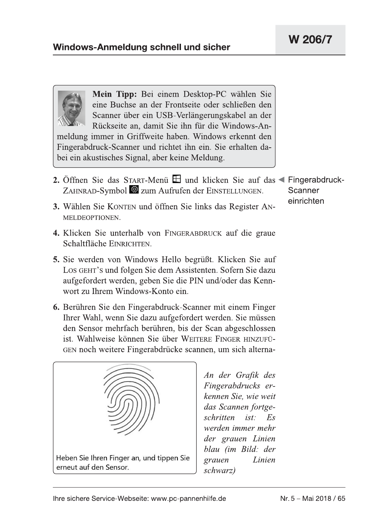

Mein Tipp: Bei einem Desktop-PC wählen Sie eine Buchse an der Frontseite oder schließen den Scanner über ein USB-Verlängerungskabel an der Rückseite an, damit Sie ihn für die Windows-Anmeldung immer in Griffweite haben. Windows erkennt den Fingerabdruck-Scanner und richtet ihn ein. Sie erhalten dabei ein akustisches Signal, aber keine Meldung.

- 2. Öffnen Sie das START-Menü  $\boxplus$  und klicken Sie auf das < Fingerabdruck-ZAHNRAD-Symbol & zum Aufrufen der EINSTELLUNGEN. Scanner
	- einrichten
- 3. Wählen Sie KONTEN und öffnen Sie links das Register AN-MELDEOPTIONEN.
- 4. Klicken Sie unterhalb von FINGERABDRUCK auf die graue Schaltfläche EINRICHTEN.
- **5.** Sie werden von Windows Hello begrüßt. Klicken Sie auf LOS GEHT's und folgen Sie dem Assistenten. Sofern Sie dazu aufgefordert werden, geben Sie die PIN und/oder das Kennwort zu Ihrem Windows-Konto ein.
- 6. Berühren Sie den Fingerabdruck-Scanner mit einem Finger Ihrer Wahl, wenn Sie dazu aufgefordert werden. Sie müssen den Sensor mehrfach berühren, bis der Scan abgeschlossen ist. Wahlweise können Sie über WEITERE FINGER HINZUFÜ-GEN noch weitere Fingerabdrücke scannen, um sich alterna-



An der Grafik des Fingerabdrucks erkennen Sie, wie weit das Scannen fortgeschritten  $ist:$  $E_{\rm S}$ werden immer mehr der grauen Linien blau (im Bild: der Linien grauen schwarz)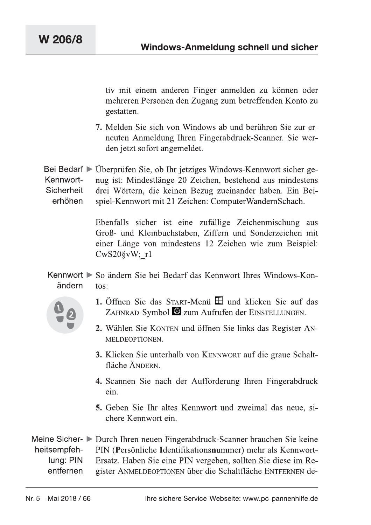tiv mit einem anderen Finger anmelden zu können oder mehreren Personen den Zugang zum betreffenden Konto zu gestatten.

7. Melden Sie sich von Windows ab und berühren Sie zur erneuten Anmeldung Ihren Fingerabdruck-Scanner. Sie werden jetzt sofort angemeldet.

 $\texttt{Bel BeQAIT} \triangleright$  Uberpruten Sie, ob Ihr jetziges Windows-Kennwort sicher ge-Kennwort-Sicherheit erhöhen nug ist: Mindestlänge 20 Zeichen, bestehend aus mindestens drei Wörtern, die keinen Bezug zueinander haben. Ein Beispiel-Kennwort mit 21 Zeichen: ComputerWandernSchach.

> $E$ benfalls sicher ist eine zufällige Zeichenmischung aus Groß- und Kleinbuchstaben, Ziffern und Sonderzeichen mit  $\Xi$ einer Länge von mindestens 12 Zeichen wie zum Beispiel:  $CwS20\$ vW; r1

 $K$ ennwort  $\triangleright$  So andern Sie bei Bedart das Kennwort Ihres Windows-Konändern  $\text{to}$ s<sup>+</sup>



- 1. Öffnen Sie das START-Menü  $\boxplus$  und klicken Sie auf das ZAHNRAD-Symbol  $\ddot{\otimes}$  zum Aufrufen der EINSTELLUNGEN.
- 2. Wählen Sie KONTEN und öffnen Sie links das Register AN-MELDEOPTIONEN.
- **3.** Klicken Sie unterhalb von KENNWORT auf die graue Schaltfläche ÄNDERN.
- 4. Scannen Sie nach der Aufforderung Ihren Fingerabdruck ein.
- 5. Geben Sie Ihr altes Kennwort und zweimal das neue, sichere Kennwort ein.

Meine Sicher- ▶ Durch Ihren neuen Fingerabdruck-Scanner brauchen Sie keine<br>heitsempfeh- PIN (Persönliche Identifikationsnummer) mehr als Kennwort-<br>lung: PIN Ersatz. Haben Sie eine PIN vergeben, sollten Sie diese im Re-<br>en Meine Sicher- $\triangleright$  Durch Ihren neuen Fingerabdruck-Scanner brauchen Sie keine heitsempfehlung; PIN entfernen PIN (Persönliche Identifikationsnummer) mehr als Kennwort-Ersatz. Haben Sie eine PIN vergeben, sollten Sie diese im Register ANMELDEOPTIONEN über die Schaltfläche ENTFERNEN de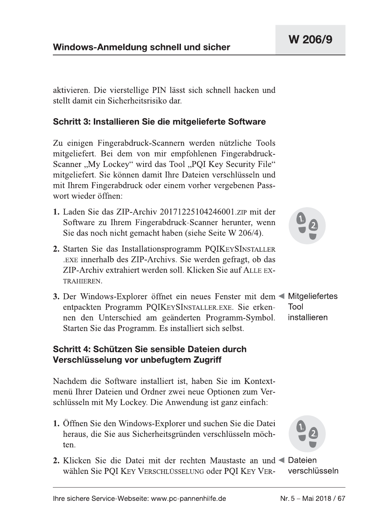aktivieren. Die vierstellige PIN lässt sich schnell hacken und stellt damit ein Sicherheitsrisiko dar.

### Schritt 3: Installieren Sie die mitgelieferte Software

Zu einigen Fingerabdruck-Scannern werden nützliche Tools mitgeliefert. Bei dem von mir empfohlenen Fingerabdruck-Scanner "My Lockey" wird das Tool "PQI Key Security File" mitgeliefert. Sie können damit Ihre Dateien verschlüsseln und mit Ihrem Fingerabdruck oder einem vorher vergebenen Passwort wieder öffnen:

- 1. Laden Sie das ZIP-Archiv 20171225104246001 zur mit der Software zu Ihrem Fingerabdruck-Scanner herunter, wenn Sie das noch nicht gemacht haben (siehe Seite W 206/4).
- 2. Starten Sie das Installationsprogramm PQIKEYSINSTALLER EXE innerhalb des ZIP-Archivs. Sie werden gefragt, ob das ZIP-Archiv extrahiert werden soll. Klicken Sie auf ALLE EX-TRAHIEREN.
- 3. Der Windows-Explorer öffnet ein neues Fenster mit dem < Mitgeliefertes entpackten Programm PQIKEYSINSTALLER.EXE. Sie erken-Tool installieren nen den Unterschied am geänderten Programm-Symbol. Starten Sie das Programm. Es installiert sich selbst.

#### Schritt 4: Schützen Sie sensible Dateien durch Verschlüsselung vor unbefugtem Zugriff

Nachdem die Software installiert ist, haben Sie im Kontextmenü Ihrer Dateien und Ordner zwei neue Optionen zum Verschlüsseln mit My Lockey. Die Anwendung ist ganz einfach:

- 1. Öffnen Sie den Windows-Explorer und suchen Sie die Datei heraus, die Sie aus Sicherheitsgründen verschlüsseln möchten.
- 2. Klicken Sie die Datei mit der rechten Maustaste an und < Dateien verschlüsseln wählen Sie POI KEY VERSCHLÜSSELUNG oder POI KEY VER-